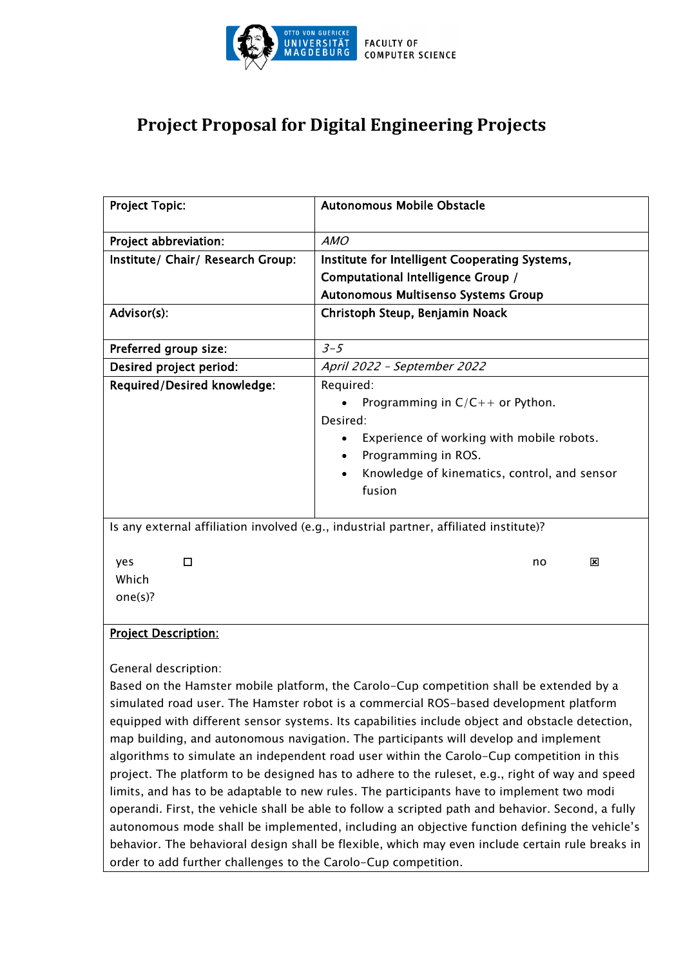

## **Project Proposal for Digital Engineering Projects**

| <b>Project Topic:</b>                                                                                                                                                                                                                                                                                                                                                                                                                                                                                                                                                                                                                                                                            | <b>Autonomous Mobile Obstacle</b>                                                                                                                                                                                  |
|--------------------------------------------------------------------------------------------------------------------------------------------------------------------------------------------------------------------------------------------------------------------------------------------------------------------------------------------------------------------------------------------------------------------------------------------------------------------------------------------------------------------------------------------------------------------------------------------------------------------------------------------------------------------------------------------------|--------------------------------------------------------------------------------------------------------------------------------------------------------------------------------------------------------------------|
| Project abbreviation:                                                                                                                                                                                                                                                                                                                                                                                                                                                                                                                                                                                                                                                                            | <b>AMO</b>                                                                                                                                                                                                         |
| Institute/ Chair/ Research Group:                                                                                                                                                                                                                                                                                                                                                                                                                                                                                                                                                                                                                                                                | Institute for Intelligent Cooperating Systems,                                                                                                                                                                     |
|                                                                                                                                                                                                                                                                                                                                                                                                                                                                                                                                                                                                                                                                                                  | Computational Intelligence Group /                                                                                                                                                                                 |
|                                                                                                                                                                                                                                                                                                                                                                                                                                                                                                                                                                                                                                                                                                  | Autonomous Multisenso Systems Group                                                                                                                                                                                |
| Advisor(s):                                                                                                                                                                                                                                                                                                                                                                                                                                                                                                                                                                                                                                                                                      | Christoph Steup, Benjamin Noack                                                                                                                                                                                    |
| Preferred group size:                                                                                                                                                                                                                                                                                                                                                                                                                                                                                                                                                                                                                                                                            | $3 - 5$                                                                                                                                                                                                            |
| Desired project period:                                                                                                                                                                                                                                                                                                                                                                                                                                                                                                                                                                                                                                                                          | April 2022 - September 2022                                                                                                                                                                                        |
| Required/Desired knowledge:                                                                                                                                                                                                                                                                                                                                                                                                                                                                                                                                                                                                                                                                      | Required:<br>Programming in $C/C++$ or Python.<br>Desired:<br>Experience of working with mobile robots.<br>$\bullet$<br>Programming in ROS.<br>$\bullet$<br>Knowledge of kinematics, control, and sensor<br>fusion |
| Is any external affiliation involved (e.g., industrial partner, affiliated institute)?                                                                                                                                                                                                                                                                                                                                                                                                                                                                                                                                                                                                           |                                                                                                                                                                                                                    |
| □<br>yes                                                                                                                                                                                                                                                                                                                                                                                                                                                                                                                                                                                                                                                                                         | ⊠<br>no                                                                                                                                                                                                            |
| Which                                                                                                                                                                                                                                                                                                                                                                                                                                                                                                                                                                                                                                                                                            |                                                                                                                                                                                                                    |
| one(s)?                                                                                                                                                                                                                                                                                                                                                                                                                                                                                                                                                                                                                                                                                          |                                                                                                                                                                                                                    |
| <b>Project Description:</b>                                                                                                                                                                                                                                                                                                                                                                                                                                                                                                                                                                                                                                                                      |                                                                                                                                                                                                                    |
| General description:<br>Based on the Hamster mobile platform, the Carolo-Cup competition shall be extended by a<br>simulated road user. The Hamster robot is a commercial ROS-based development platform<br>equipped with different sensor systems. Its capabilities include object and obstacle detection,<br>map building, and autonomous navigation. The participants will develop and implement<br>algorithms to simulate an independent road user within the Carolo-Cup competition in this<br>project. The platform to be designed has to adhere to the ruleset, e.g., right of way and speed<br>limits, and has to be adaptable to new rules. The participants have to implement two modi |                                                                                                                                                                                                                    |

operandi. First, the vehicle shall be able to follow a scripted path and behavior. Second, a fully autonomous mode shall be implemented, including an objective function defining the vehicle's behavior. The behavioral design shall be flexible, which may even include certain rule breaks in order to add further challenges to the Carolo-Cup competition.